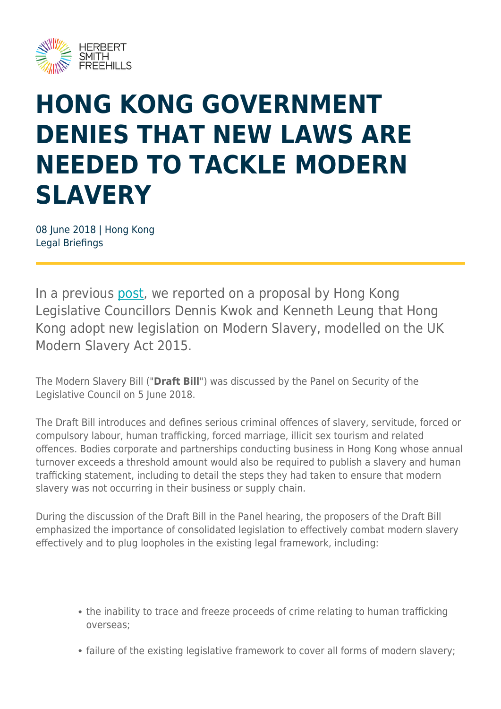

## **HONG KONG GOVERNMENT DENIES THAT NEW LAWS ARE NEEDED TO TACKLE MODERN SLAVERY**

08 June 2018 | Hong Kong Legal Briefings

In a previous [post](https://www.herbertsmithfreehills.com/latest-thinking/modern-slavery-law-proposed-for-hong-kong), we reported on a proposal by Hong Kong Legislative Councillors Dennis Kwok and Kenneth Leung that Hong Kong adopt new legislation on Modern Slavery, modelled on the UK Modern Slavery Act 2015.

The Modern Slavery Bill ("**Draft Bill**") was discussed by the Panel on Security of the Legislative Council on 5 June 2018.

The Draft Bill introduces and defines serious criminal offences of slavery, servitude, forced or compulsory labour, human trafficking, forced marriage, illicit sex tourism and related offences. Bodies corporate and partnerships conducting business in Hong Kong whose annual turnover exceeds a threshold amount would also be required to publish a slavery and human trafficking statement, including to detail the steps they had taken to ensure that modern slavery was not occurring in their business or supply chain.

During the discussion of the Draft Bill in the Panel hearing, the proposers of the Draft Bill emphasized the importance of consolidated legislation to effectively combat modern slavery effectively and to plug loopholes in the existing legal framework, including:

- the inability to trace and freeze proceeds of crime relating to human trafficking overseas;
- failure of the existing legislative framework to cover all forms of modern slavery;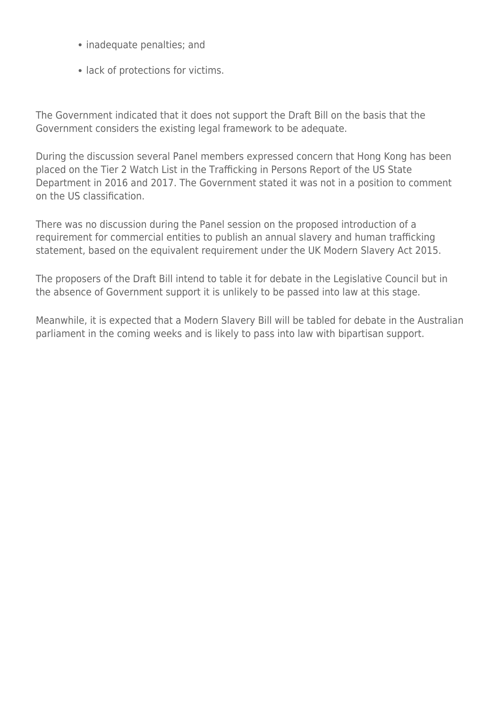- inadequate penalties; and
- lack of protections for victims.

The Government indicated that it does not support the Draft Bill on the basis that the Government considers the existing legal framework to be adequate.

During the discussion several Panel members expressed concern that Hong Kong has been placed on the Tier 2 Watch List in the Trafficking in Persons Report of the US State Department in 2016 and 2017. The Government stated it was not in a position to comment on the US classification.

There was no discussion during the Panel session on the proposed introduction of a requirement for commercial entities to publish an annual slavery and human trafficking statement, based on the equivalent requirement under the UK Modern Slavery Act 2015.

The proposers of the Draft Bill intend to table it for debate in the Legislative Council but in the absence of Government support it is unlikely to be passed into law at this stage.

Meanwhile, it is expected that a Modern Slavery Bill will be tabled for debate in the Australian parliament in the coming weeks and is likely to pass into law with bipartisan support.